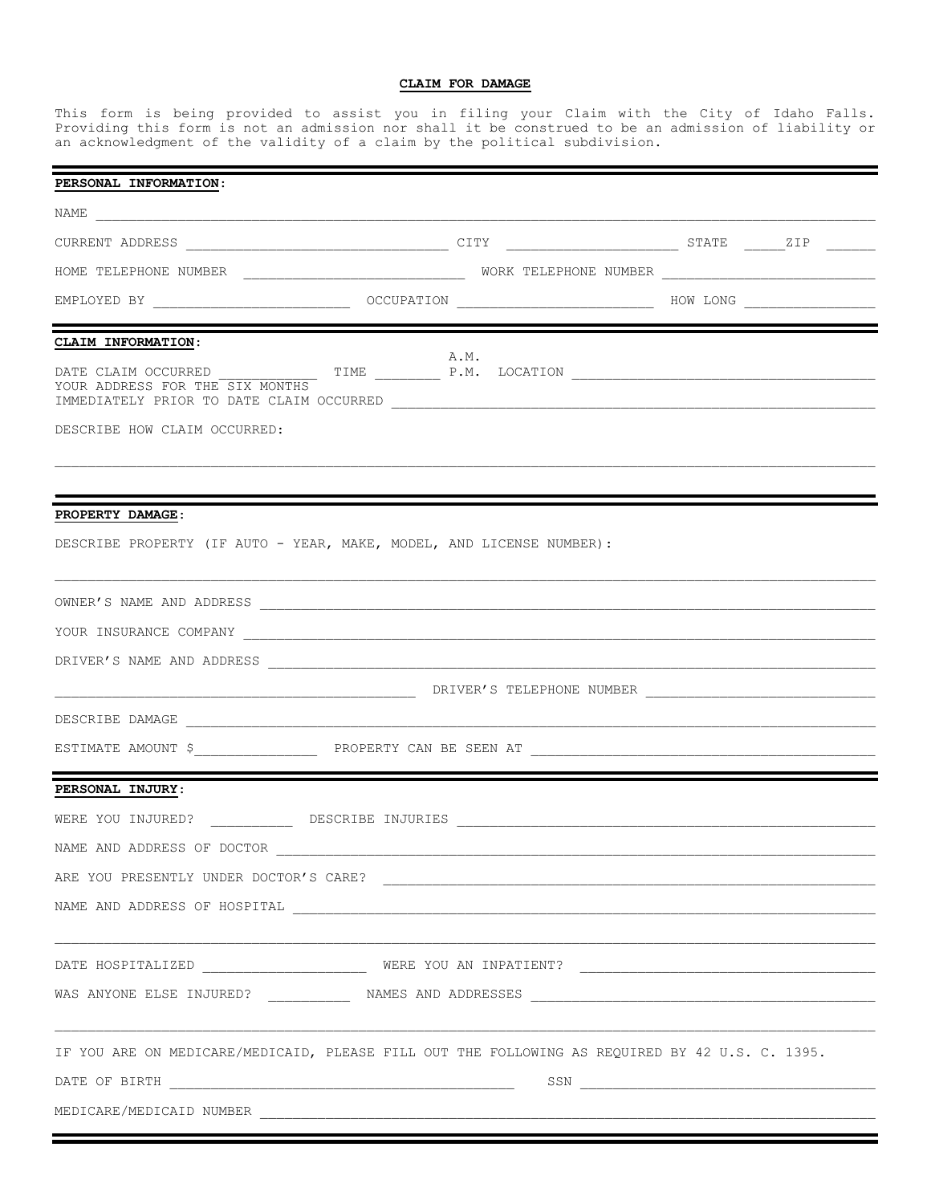## **CLAIM FOR DAMAGE**

This form is being provided to assist you in filing your Claim with the City of Idaho Falls. Providing this form is not an admission nor shall it be construed to be an admission of liability or an acknowledgment of the validity of a claim by the political subdivision.

| PERSONAL INFORMATION:                                                                          |      |  |  |  |  |
|------------------------------------------------------------------------------------------------|------|--|--|--|--|
|                                                                                                |      |  |  |  |  |
|                                                                                                |      |  |  |  |  |
|                                                                                                |      |  |  |  |  |
|                                                                                                |      |  |  |  |  |
| CLAIM INFORMATION:                                                                             |      |  |  |  |  |
| YOUR ADDRESS FOR THE SIX MONTHS                                                                | A.M. |  |  |  |  |
| DESCRIBE HOW CLAIM OCCURRED:                                                                   |      |  |  |  |  |
|                                                                                                |      |  |  |  |  |
| PROPERTY DAMAGE:                                                                               |      |  |  |  |  |
| DESCRIBE PROPERTY (IF AUTO - YEAR, MAKE, MODEL, AND LICENSE NUMBER):                           |      |  |  |  |  |
|                                                                                                |      |  |  |  |  |
|                                                                                                |      |  |  |  |  |
|                                                                                                |      |  |  |  |  |
|                                                                                                |      |  |  |  |  |
|                                                                                                |      |  |  |  |  |
|                                                                                                |      |  |  |  |  |
| PERSONAL INJURY:                                                                               |      |  |  |  |  |
|                                                                                                |      |  |  |  |  |
| NAME AND ADDRESS OF DOCTOR                                                                     |      |  |  |  |  |
|                                                                                                |      |  |  |  |  |
|                                                                                                |      |  |  |  |  |
|                                                                                                |      |  |  |  |  |
|                                                                                                |      |  |  |  |  |
| IF YOU ARE ON MEDICARE/MEDICAID, PLEASE FILL OUT THE FOLLOWING AS REQUIRED BY 42 U.S. C. 1395. |      |  |  |  |  |
|                                                                                                |      |  |  |  |  |
|                                                                                                |      |  |  |  |  |